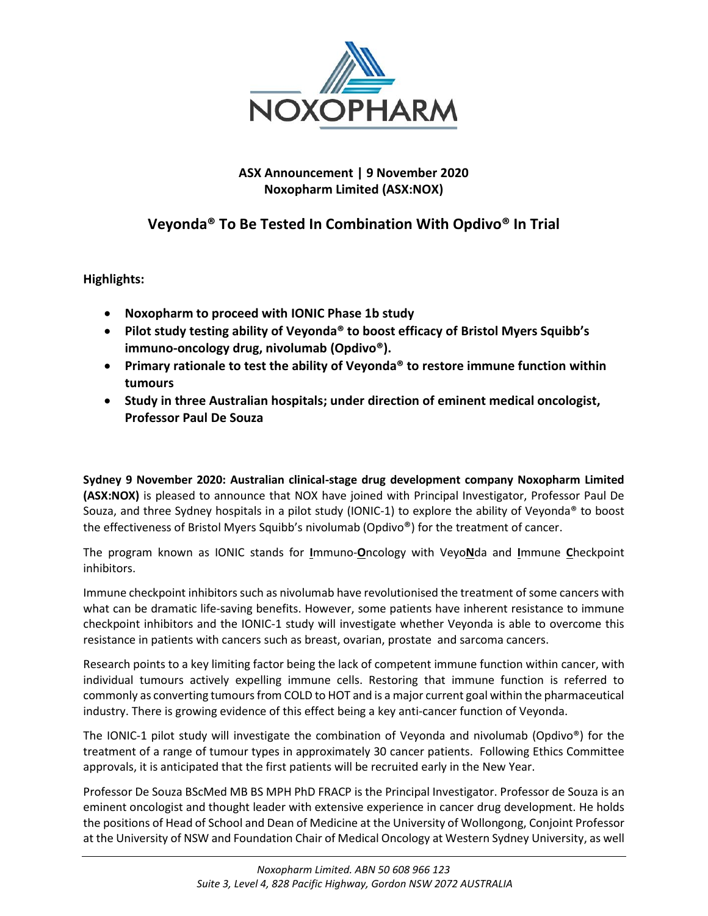

## **ASX Announcement | 9 November 2020 Noxopharm Limited (ASX:NOX)**

# **Veyonda® To Be Tested In Combination With Opdivo® In Trial**

**Highlights:**

- **Noxopharm to proceed with IONIC Phase 1b study**
- **Pilot study testing ability of Veyonda® to boost efficacy of Bristol Myers Squibb's immuno-oncology drug, nivolumab (Opdivo®).**
- **Primary rationale to test the ability of Veyonda® to restore immune function within tumours**
- **Study in three Australian hospitals; under direction of eminent medical oncologist, Professor Paul De Souza**

**Sydney 9 November 2020: Australian clinical-stage drug development company Noxopharm Limited (ASX:NOX)** is pleased to announce that NOX have joined with Principal Investigator, Professor Paul De Souza, and three Sydney hospitals in a pilot study (IONIC-1) to explore the ability of Veyonda® to boost the effectiveness of Bristol Myers Squibb's nivolumab (Opdivo®) for the treatment of cancer.

The program known as IONIC stands for **I**mmuno-**O**ncology with Veyo**N**da and **I**mmune **C**heckpoint inhibitors.

Immune checkpoint inhibitors such as nivolumab have revolutionised the treatment of some cancers with what can be dramatic life-saving benefits. However, some patients have inherent resistance to immune checkpoint inhibitors and the IONIC-1 study will investigate whether Veyonda is able to overcome this resistance in patients with cancers such as breast, ovarian, prostate and sarcoma cancers.

Research points to a key limiting factor being the lack of competent immune function within cancer, with individual tumours actively expelling immune cells. Restoring that immune function is referred to commonly as converting tumours from COLD to HOT and is a major current goal within the pharmaceutical industry. There is growing evidence of this effect being a key anti-cancer function of Veyonda.

The IONIC-1 pilot study will investigate the combination of Veyonda and nivolumab (Opdivo®) for the treatment of a range of tumour types in approximately 30 cancer patients. Following Ethics Committee approvals, it is anticipated that the first patients will be recruited early in the New Year.

Professor De Souza BScMed MB BS MPH PhD FRACP is the Principal Investigator. Professor de Souza is an eminent oncologist and thought leader with extensive experience in cancer drug development. He holds the positions of Head of School and Dean of Medicine at the University of Wollongong, Conjoint Professor at the University of NSW and Foundation Chair of Medical Oncology at Western Sydney University, as well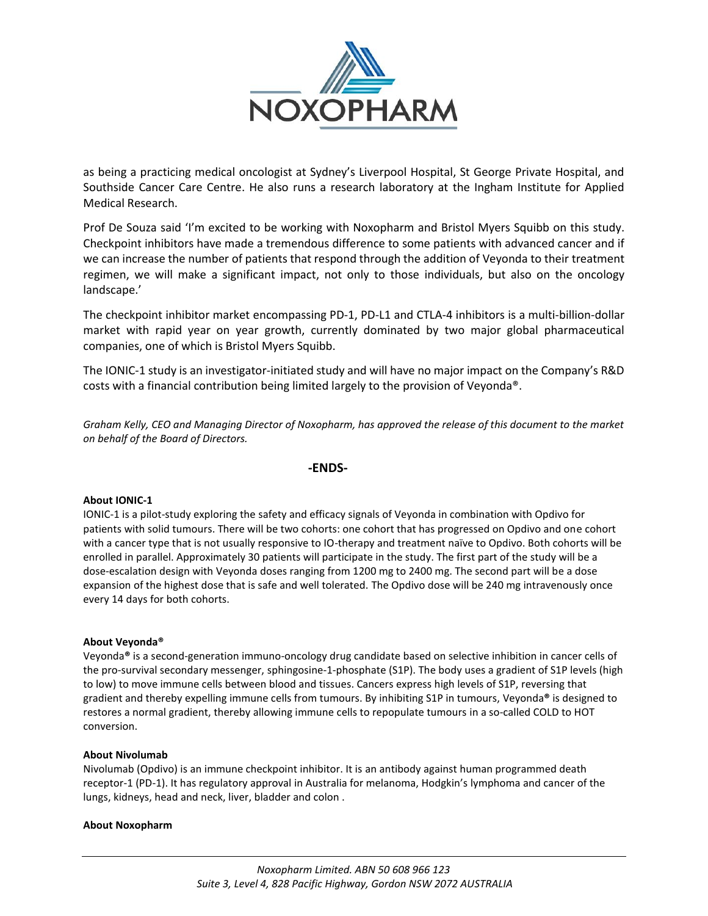

as being a practicing medical oncologist at Sydney's Liverpool Hospital, St George Private Hospital, and Southside Cancer Care Centre. He also runs a research laboratory at the Ingham Institute for Applied Medical Research.

Prof De Souza said 'I'm excited to be working with Noxopharm and Bristol Myers Squibb on this study. Checkpoint inhibitors have made a tremendous difference to some patients with advanced cancer and if we can increase the number of patients that respond through the addition of Veyonda to their treatment regimen, we will make a significant impact, not only to those individuals, but also on the oncology landscape.'

The checkpoint inhibitor market encompassing PD-1, PD-L1 and CTLA-4 inhibitors is a multi-billion-dollar market with rapid year on year growth, currently dominated by two major global pharmaceutical companies, one of which is Bristol Myers Squibb.

The IONIC-1 study is an investigator-initiated study and will have no major impact on the Company's R&D costs with a financial contribution being limited largely to the provision of Veyonda®.

*Graham Kelly, CEO and Managing Director of Noxopharm, has approved the release of this document to the market on behalf of the Board of Directors.*

### **-ENDS-**

### **About IONIC-1**

IONIC-1 is a pilot-study exploring the safety and efficacy signals of Veyonda in combination with Opdivo for patients with solid tumours. There will be two cohorts: one cohort that has progressed on Opdivo and one cohort with a cancer type that is not usually responsive to IO-therapy and treatment naïve to Opdivo. Both cohorts will be enrolled in parallel. Approximately 30 patients will participate in the study. The first part of the study will be a dose-escalation design with Veyonda doses ranging from 1200 mg to 2400 mg. The second part will be a dose expansion of the highest dose that is safe and well tolerated. The Opdivo dose will be 240 mg intravenously once every 14 days for both cohorts.

### **About Veyonda®**

Veyonda**®** is a second-generation immuno-oncology drug candidate based on selective inhibition in cancer cells of the pro-survival secondary messenger, sphingosine-1-phosphate (S1P). The body uses a gradient of S1P levels (high to low) to move immune cells between blood and tissues. Cancers express high levels of S1P, reversing that gradient and thereby expelling immune cells from tumours. By inhibiting S1P in tumours, Veyonda**®** is designed to restores a normal gradient, thereby allowing immune cells to repopulate tumours in a so-called COLD to HOT conversion.

### **About Nivolumab**

Nivolumab (Opdivo) is an immune checkpoint inhibitor. It is an antibody against human programmed death receptor-1 (PD-1). It has regulatory approval in Australia for melanoma, Hodgkin's lymphoma and cancer of the lungs, kidneys, head and neck, liver, bladder and colon .

#### **About Noxopharm**